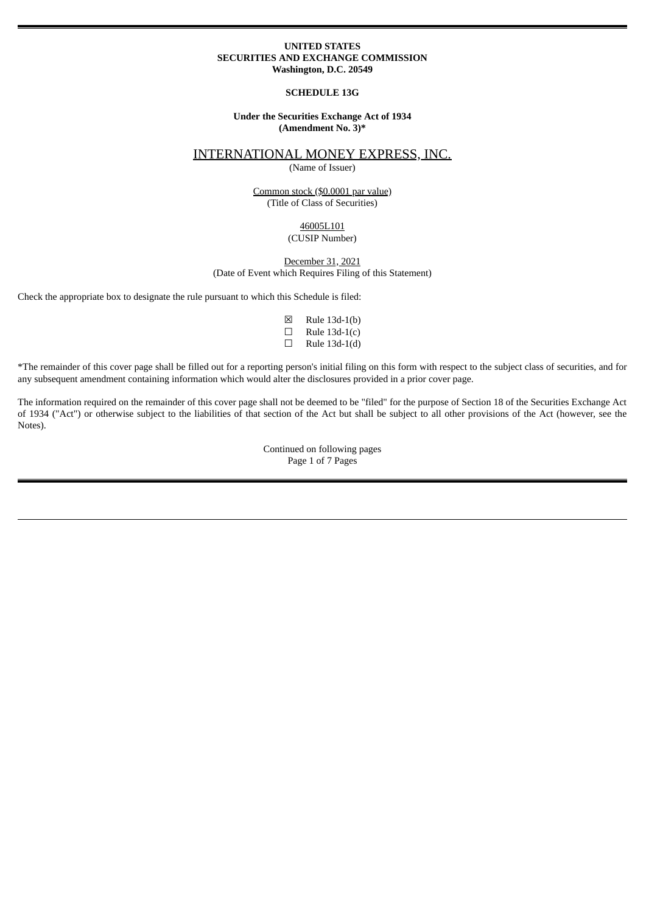#### **UNITED STATES SECURITIES AND EXCHANGE COMMISSION Washington, D.C. 20549**

#### **SCHEDULE 13G**

#### **Under the Securities Exchange Act of 1934 (Amendment No. 3)\***

## INTERNATIONAL MONEY EXPRESS, INC.

(Name of Issuer)

#### Common stock (\$0.0001 par value) (Title of Class of Securities)

#### 46005L101 (CUSIP Number)

#### December 31, 2021 (Date of Event which Requires Filing of this Statement)

Check the appropriate box to designate the rule pursuant to which this Schedule is filed:

| ⊠ | Rule 13d-1(b) |
|---|---------------|
| ⊔ | Rule 13d-1(c) |
| ⊔ | Rule 13d-1(d) |

\*The remainder of this cover page shall be filled out for a reporting person's initial filing on this form with respect to the subject class of securities, and for any subsequent amendment containing information which would alter the disclosures provided in a prior cover page.

The information required on the remainder of this cover page shall not be deemed to be "filed" for the purpose of Section 18 of the Securities Exchange Act of 1934 ("Act") or otherwise subject to the liabilities of that section of the Act but shall be subject to all other provisions of the Act (however, see the Notes).

> Continued on following pages Page 1 of 7 Pages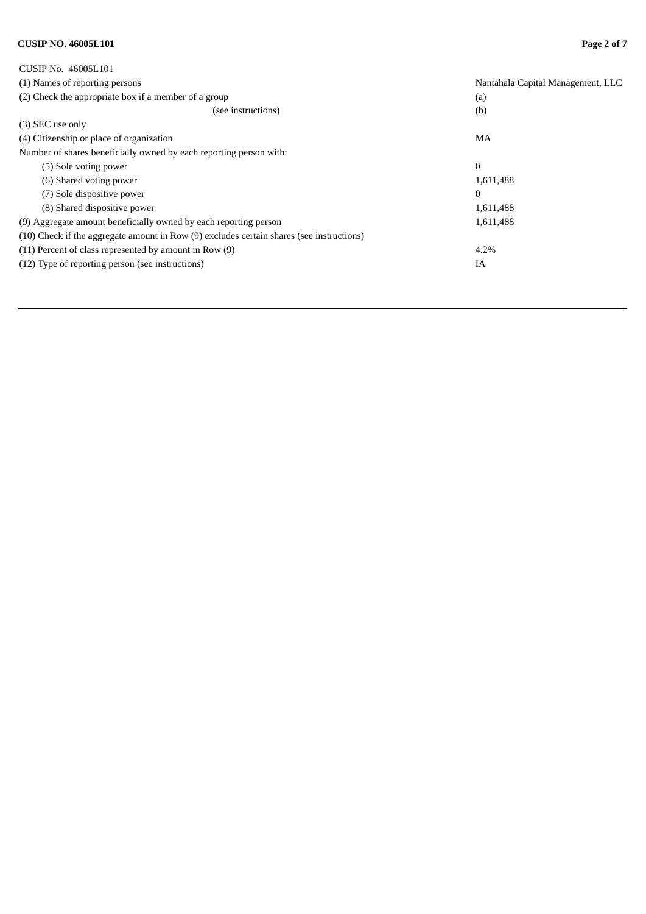# **CUSIP NO. 46005L101 Page 2 of 7**

| CUSIP No. 46005L101                                                                      |                                   |
|------------------------------------------------------------------------------------------|-----------------------------------|
| (1) Names of reporting persons                                                           | Nantahala Capital Management, LLC |
| (2) Check the appropriate box if a member of a group                                     | (a)                               |
| (see instructions)                                                                       | (b)                               |
| (3) SEC use only                                                                         |                                   |
| (4) Citizenship or place of organization                                                 | MA                                |
| Number of shares beneficially owned by each reporting person with:                       |                                   |
| (5) Sole voting power                                                                    | $\mathbf{0}$                      |
| (6) Shared voting power                                                                  | 1,611,488                         |
| (7) Sole dispositive power                                                               | $\Omega$                          |
| (8) Shared dispositive power                                                             | 1,611,488                         |
| (9) Aggregate amount beneficially owned by each reporting person                         | 1,611,488                         |
| (10) Check if the aggregate amount in Row (9) excludes certain shares (see instructions) |                                   |
| (11) Percent of class represented by amount in Row (9)                                   | 4.2%                              |
| (12) Type of reporting person (see instructions)                                         | IA                                |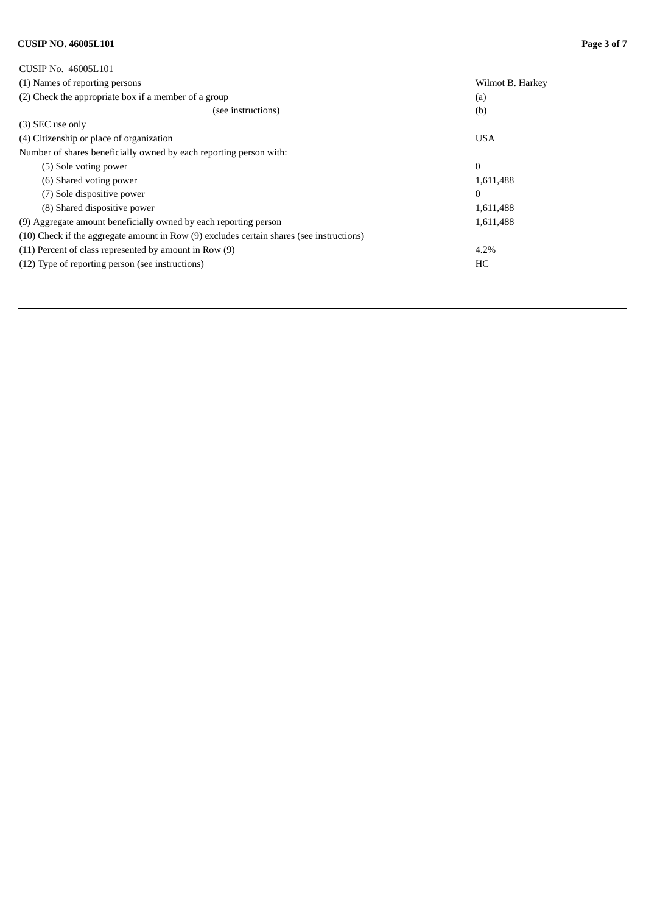# **CUSIP NO. 46005L101 Page 3 of 7**

| CUSIP No. 46005L101                                                                      |                  |
|------------------------------------------------------------------------------------------|------------------|
| (1) Names of reporting persons                                                           | Wilmot B. Harkey |
| (2) Check the appropriate box if a member of a group                                     | (a)              |
| (see instructions)                                                                       | (b)              |
| (3) SEC use only                                                                         |                  |
| (4) Citizenship or place of organization                                                 | <b>USA</b>       |
| Number of shares beneficially owned by each reporting person with:                       |                  |
| (5) Sole voting power                                                                    | $\Omega$         |
| (6) Shared voting power                                                                  | 1,611,488        |
| (7) Sole dispositive power                                                               | $\Omega$         |
| (8) Shared dispositive power                                                             | 1,611,488        |
| (9) Aggregate amount beneficially owned by each reporting person                         | 1,611,488        |
| (10) Check if the aggregate amount in Row (9) excludes certain shares (see instructions) |                  |
| (11) Percent of class represented by amount in Row (9)                                   | 4.2%             |
| (12) Type of reporting person (see instructions)                                         | HC               |
|                                                                                          |                  |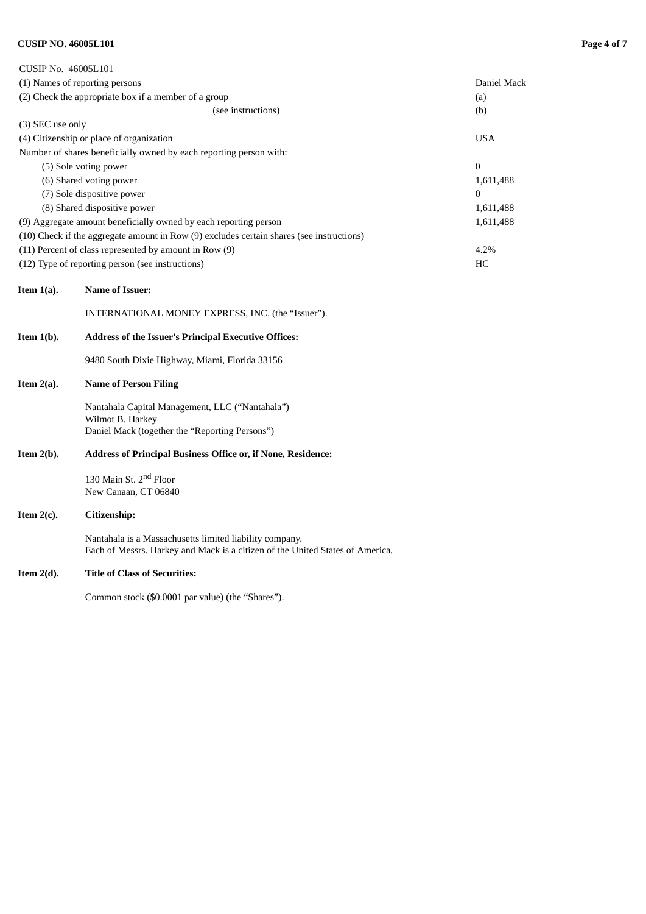# **CUSIP NO. 46005L101 Page 4 of 7**

| CUSIP No. 46005L101                                                                      |             |
|------------------------------------------------------------------------------------------|-------------|
| (1) Names of reporting persons                                                           | Daniel Mack |
| (2) Check the appropriate box if a member of a group                                     | (a)         |
| (see instructions)                                                                       | (b)         |
| (3) SEC use only                                                                         |             |
| (4) Citizenship or place of organization                                                 | <b>USA</b>  |
| Number of shares beneficially owned by each reporting person with:                       |             |
| (5) Sole voting power                                                                    | $\Omega$    |
| (6) Shared voting power                                                                  | 1,611,488   |
| (7) Sole dispositive power                                                               | $\Omega$    |
| (8) Shared dispositive power                                                             | 1,611,488   |
| (9) Aggregate amount beneficially owned by each reporting person                         | 1,611,488   |
| (10) Check if the aggregate amount in Row (9) excludes certain shares (see instructions) |             |
| (11) Percent of class represented by amount in Row (9)                                   | 4.2%        |
| (12) Type of reporting person (see instructions)                                         | HC          |

#### **Item 1(a). Name of Issuer:**

INTERNATIONAL MONEY EXPRESS, INC. (the "Issuer").

#### **Item 1(b). Address of the Issuer's Principal Executive Offices:**

9480 South Dixie Highway, Miami, Florida 33156

#### **Item 2(a). Name of Person Filing**

Nantahala Capital Management, LLC ("Nantahala") Wilmot B. Harkey Daniel Mack (together the "Reporting Persons")

#### **Item 2(b). Address of Principal Business Office or, if None, Residence:**

130 Main St. 2<sup>nd</sup> Floor New Canaan, CT 06840

# **Item 2(c). Citizenship:**

Nantahala is a Massachusetts limited liability company. Each of Messrs. Harkey and Mack is a citizen of the United States of America.

#### **Item 2(d). Title of Class of Securities:**

Common stock (\$0.0001 par value) (the "Shares").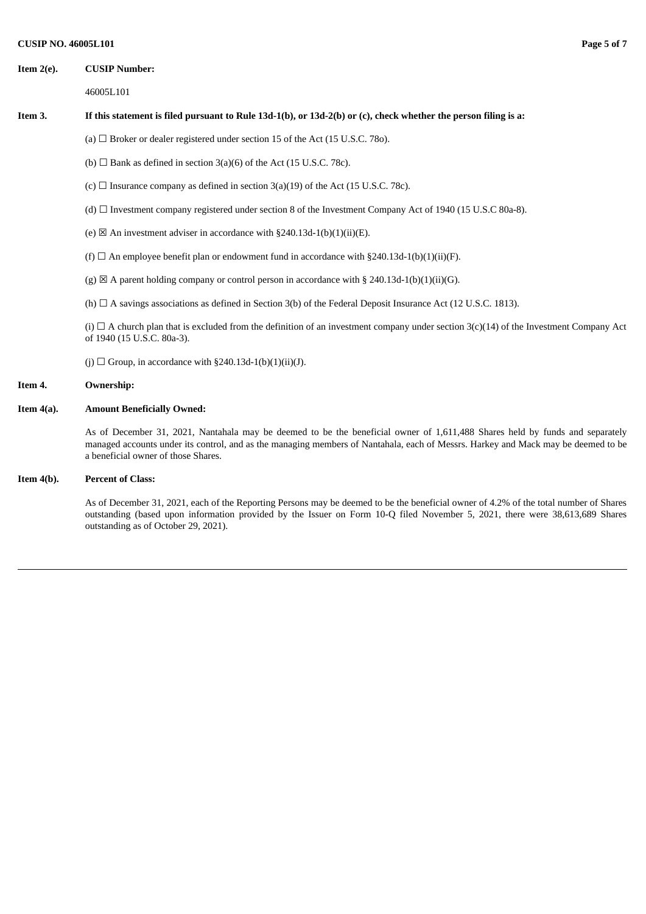#### **Item 2(e). CUSIP Number:**

46005L101

#### Item 3. If this statement is filed pursuant to Rule 13d-1(b), or 13d-2(b) or (c), check whether the person filing is a:

- (a)  $\Box$  Broker or dealer registered under section 15 of the Act (15 U.S.C. 780).
- (b)  $\Box$  Bank as defined in section 3(a)(6) of the Act (15 U.S.C. 78c).
- (c)  $\Box$  Insurance company as defined in section 3(a)(19) of the Act (15 U.S.C. 78c).
- (d) ☐ Investment company registered under section 8 of the Investment Company Act of 1940 (15 U.S.C 80a-8).
- (e)  $\boxtimes$  An investment adviser in accordance with §240.13d-1(b)(1)(ii)(E).
- (f)  $\Box$  An employee benefit plan or endowment fund in accordance with §240.13d-1(b)(1)(ii)(F).
- (g)  $\boxtimes$  A parent holding company or control person in accordance with § 240.13d-1(b)(1)(ii)(G).
- (h)  $\Box$  A savings associations as defined in Section 3(b) of the Federal Deposit Insurance Act (12 U.S.C. 1813).

(i)  $\Box$  A church plan that is excluded from the definition of an investment company under section 3(c)(14) of the Investment Company Act of 1940 (15 U.S.C. 80a-3).

(j)  $\Box$  Group, in accordance with §240.13d-1(b)(1)(ii)(J).

#### **Item 4. Ownership:**

#### **Item 4(a). Amount Beneficially Owned:**

As of December 31, 2021, Nantahala may be deemed to be the beneficial owner of 1,611,488 Shares held by funds and separately managed accounts under its control, and as the managing members of Nantahala, each of Messrs. Harkey and Mack may be deemed to be a beneficial owner of those Shares.

#### **Item 4(b). Percent of Class:**

As of December 31, 2021, each of the Reporting Persons may be deemed to be the beneficial owner of 4.2% of the total number of Shares outstanding (based upon information provided by the Issuer on Form 10-Q filed November 5, 2021, there were 38,613,689 Shares outstanding as of October 29, 2021).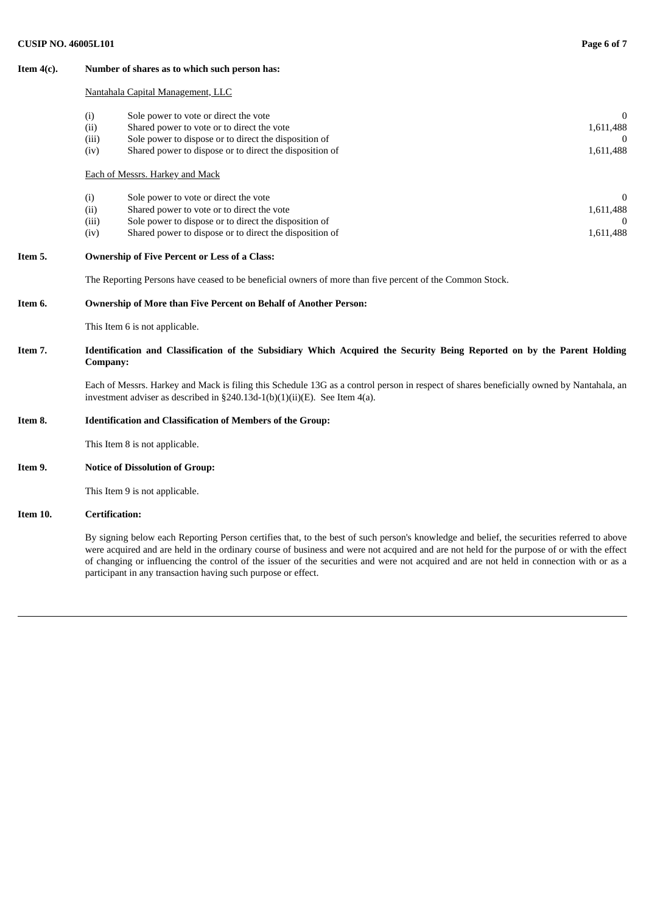#### **Item 4(c). Number of shares as to which such person has:**

#### Nantahala Capital Management, LLC

| (i)   | Sole power to vote or direct the vote                   |           |
|-------|---------------------------------------------------------|-----------|
| (ii)  | Shared power to vote or to direct the vote              | 1,611,488 |
| (iii) | Sole power to dispose or to direct the disposition of   |           |
| (iv)  | Shared power to dispose or to direct the disposition of | 1,611,488 |
|       | Sole power to vote or direct the vote                   |           |
| (i)   |                                                         |           |
| (ii)  | Shared power to vote or to direct the vote              | 1,611,488 |
| (iii) | Sole power to dispose or to direct the disposition of   |           |
| (iv)  | Shared power to dispose or to direct the disposition of | 1,611,488 |

#### **Item 5. Ownership of Five Percent or Less of a Class:**

The Reporting Persons have ceased to be beneficial owners of more than five percent of the Common Stock.

#### **Item 6. Ownership of More than Five Percent on Behalf of Another Person:**

This Item 6 is not applicable.

### Item 7. Identification and Classification of the Subsidiary Which Acquired the Security Being Reported on by the Parent Holding **Company:**

Each of Messrs. Harkey and Mack is filing this Schedule 13G as a control person in respect of shares beneficially owned by Nantahala, an investment adviser as described in §240.13d-1(b)(1)(ii)(E). See Item 4(a).

## **Item 8. Identification and Classification of Members of the Group:**

This Item 8 is not applicable.

**Item 9. Notice of Dissolution of Group:**

This Item 9 is not applicable.

#### **Item 10. Certification:**

By signing below each Reporting Person certifies that, to the best of such person's knowledge and belief, the securities referred to above were acquired and are held in the ordinary course of business and were not acquired and are not held for the purpose of or with the effect of changing or influencing the control of the issuer of the securities and were not acquired and are not held in connection with or as a participant in any transaction having such purpose or effect.